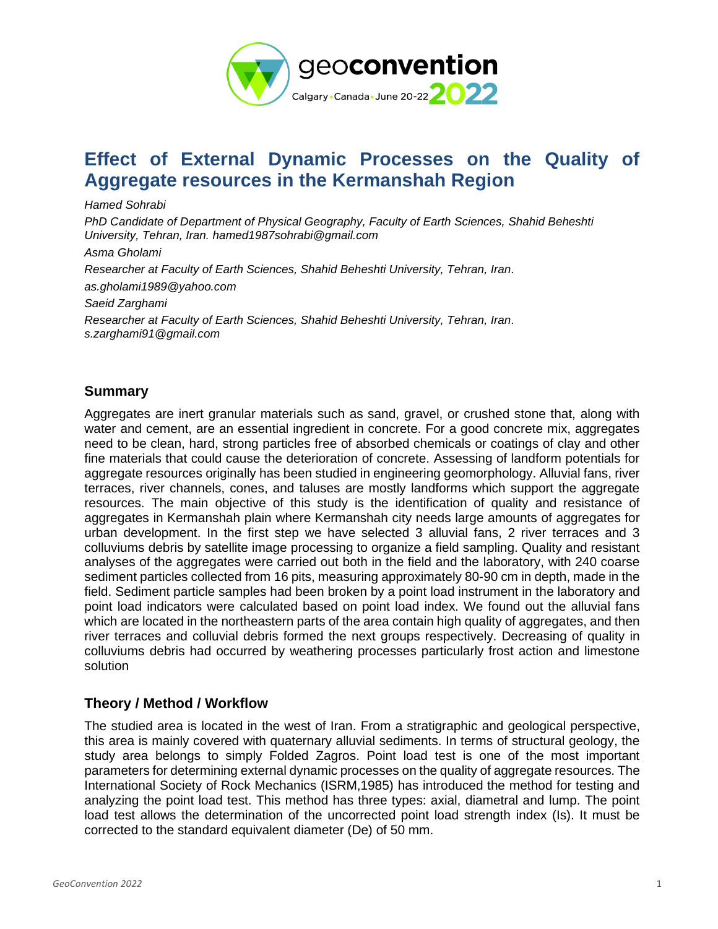

# **Effect of External Dynamic Processes on the Quality of Aggregate resources in the Kermanshah Region**

*Hamed Sohrabi*

*PhD Candidate of Department of Physical Geography, Faculty of Earth Sciences, Shahid Beheshti University, Tehran, Iran. hamed1987sohrabi@gmail.com*

*Asma Gholami Researcher at Faculty of Earth Sciences, Shahid Beheshti University, Tehran, Iran. as.gholami1989@yahoo.com Saeid Zarghami Researcher at Faculty of Earth Sciences, Shahid Beheshti University, Tehran, Iran. s.zarghami91@gmail.com*

### **Summary**

Aggregates are inert granular materials such as sand, gravel, or crushed stone that, along with water and cement, are an essential ingredient in concrete. For a good concrete mix, aggregates need to be clean, hard, strong particles free of absorbed chemicals or coatings of clay and other fine materials that could cause the deterioration of concrete. Assessing of landform potentials for aggregate resources originally has been studied in engineering geomorphology. Alluvial fans, river terraces, river channels, cones, and taluses are mostly landforms which support the aggregate resources. The main objective of this study is the identification of quality and resistance of aggregates in Kermanshah plain where Kermanshah city needs large amounts of aggregates for urban development. In the first step we have selected 3 alluvial fans, 2 river terraces and 3 colluviums debris by satellite image processing to organize a field sampling. Quality and resistant analyses of the aggregates were carried out both in the field and the laboratory, with 240 coarse sediment particles collected from 16 pits, measuring approximately 80-90 cm in depth, made in the field. Sediment particle samples had been broken by a point load instrument in the laboratory and point load indicators were calculated based on point load index. We found out the alluvial fans which are located in the northeastern parts of the area contain high quality of aggregates, and then river terraces and colluvial debris formed the next groups respectively. Decreasing of quality in colluviums debris had occurred by weathering processes particularly frost action and limestone solution

### **Theory / Method / Workflow**

The studied area is located in the west of Iran. From a stratigraphic and geological perspective, this area is mainly covered with quaternary alluvial sediments. In terms of structural geology, the study area belongs to simply Folded Zagros. Point load test is one of the most important parameters for determining external dynamic processes on the quality of aggregate resources. The International Society of Rock Mechanics (ISRM,1985) has introduced the method for testing and analyzing the point load test. This method has three types: axial, diametral and lump. The point load test allows the determination of the uncorrected point load strength index (Is). It must be corrected to the standard equivalent diameter (De) of 50 mm.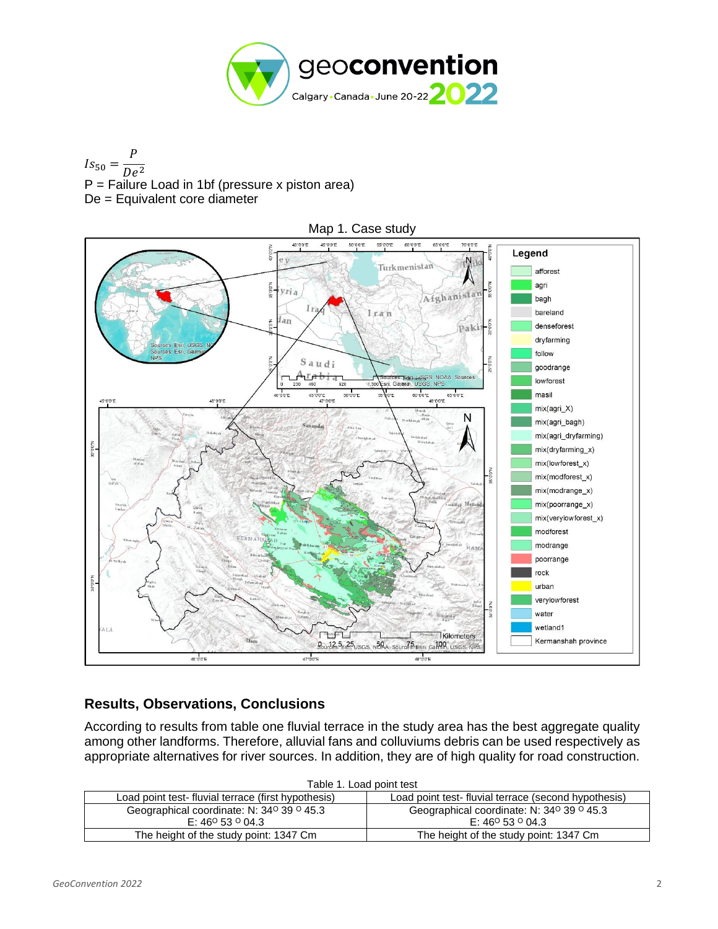

 $Is_{50} =$  $\overline{P}$  $De<sup>2</sup>$  $P =$  Failure Load in 1bf (pressure x piston area) De = Equivalent core diameter



## **Results, Observations, Conclusions**

According to results from table one fluvial terrace in the study area has the best aggregate quality among other landforms. Therefore, alluvial fans and colluviums debris can be used respectively as appropriate alternatives for river sources. In addition, they are of high quality for road construction.

| Table 1. Load point test                                                                                   |                                           |  |  |
|------------------------------------------------------------------------------------------------------------|-------------------------------------------|--|--|
| Load point test- fluvial terrace (first hypothesis)<br>Load point test-fluvial terrace (second hypothesis) |                                           |  |  |
| Geographical coordinate: N: 34° 39 ° 45.3                                                                  | Geographical coordinate: N: 34° 39 ° 45.3 |  |  |
| E: 46 <sup>o</sup> 53 <sup>o</sup> 04.3                                                                    | E: 46° 53 ° 04.3                          |  |  |
| The height of the study point: 1347 Cm                                                                     | The height of the study point: 1347 Cm    |  |  |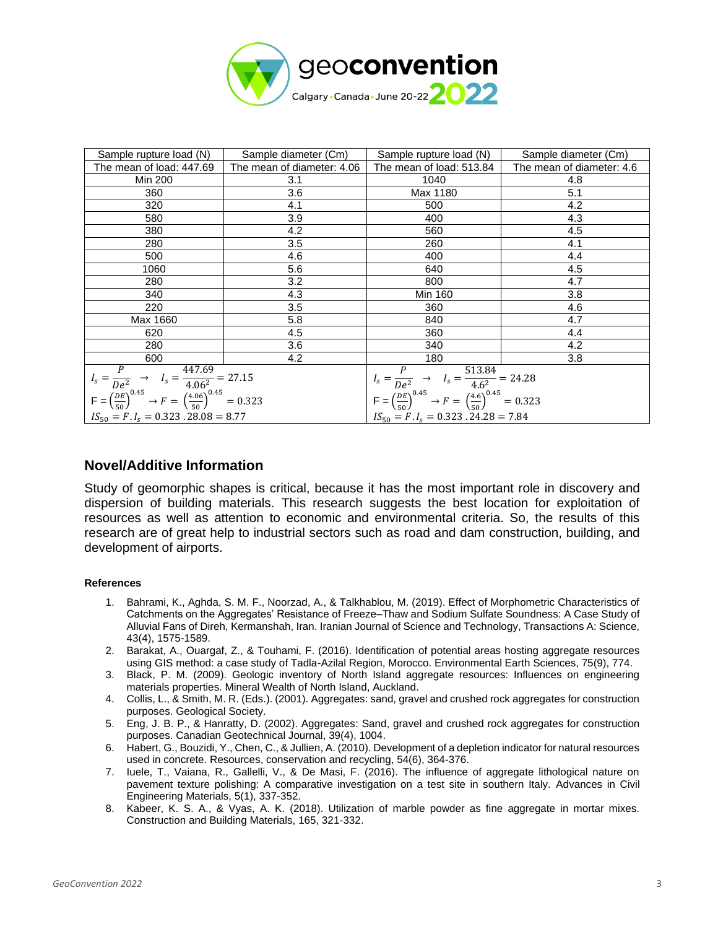

| Sample rupture load (N)                                                                                                                                                       | Sample diameter (Cm)       | Sample rupture load (N)                                                                                                                               | Sample diameter (Cm)      |
|-------------------------------------------------------------------------------------------------------------------------------------------------------------------------------|----------------------------|-------------------------------------------------------------------------------------------------------------------------------------------------------|---------------------------|
| The mean of load: 447.69                                                                                                                                                      | The mean of diameter: 4.06 | The mean of load: 513.84                                                                                                                              | The mean of diameter: 4.6 |
| Min 200                                                                                                                                                                       | 3.1                        | 1040                                                                                                                                                  | 4.8                       |
| 360                                                                                                                                                                           | 3.6                        | Max 1180                                                                                                                                              | 5.1                       |
| 320                                                                                                                                                                           | 4.1                        | 500                                                                                                                                                   | 4.2                       |
| 580                                                                                                                                                                           | 3.9                        | 400                                                                                                                                                   | 4.3                       |
| 380                                                                                                                                                                           | 4.2                        | 560                                                                                                                                                   | 4.5                       |
| 280                                                                                                                                                                           | 3.5                        | 260                                                                                                                                                   | 4.1                       |
| 500                                                                                                                                                                           | 4.6                        | 400                                                                                                                                                   | 4.4                       |
| 1060                                                                                                                                                                          | 5.6                        | 640                                                                                                                                                   | 4.5                       |
| 280                                                                                                                                                                           | 3.2                        | 800                                                                                                                                                   | 4.7                       |
| 340                                                                                                                                                                           | 4.3                        | Min 160                                                                                                                                               | 3.8                       |
| 220                                                                                                                                                                           | 3.5                        | 360                                                                                                                                                   | 4.6                       |
| Max 1660                                                                                                                                                                      | 5.8                        | 840                                                                                                                                                   | 4.7                       |
| 620                                                                                                                                                                           | 4.5                        | 360                                                                                                                                                   | 4.4                       |
| 280                                                                                                                                                                           | 3.6                        | 340                                                                                                                                                   | 4.2                       |
| 600                                                                                                                                                                           | 4.2                        | 180                                                                                                                                                   | 3.8                       |
| $I_s = \frac{P}{De^2} \rightarrow I_s = \frac{447.69}{4.06^2} = 27.15$<br>$F = \left(\frac{DE}{50}\right)^{0.45} \rightarrow F = \left(\frac{4.06}{50}\right)^{0.45} = 0.323$ |                            | $I_s = \frac{P}{De^2} \rightarrow I_s = \frac{513.84}{4.6^2} = 24.28$<br>$F = (\frac{DE}{50})^{0.45} \rightarrow F = (\frac{4.6}{50})^{0.45} = 0.323$ |                           |
| $IS_{50} = F. I_s = 0.323.28.08 = 8.77$                                                                                                                                       |                            | $IS_{50} = F. I_s = 0.323.24.28 = 7.84$                                                                                                               |                           |

#### **Novel/Additive Information**

Study of geomorphic shapes is critical, because it has the most important role in discovery and dispersion of building materials. This research suggests the best location for exploitation of resources as well as attention to economic and environmental criteria. So, the results of this research are of great help to industrial sectors such as road and dam construction, building, and development of airports.

#### **References**

- 1. Bahrami, K., Aghda, S. M. F., Noorzad, A., & Talkhablou, M. (2019). Effect of Morphometric Characteristics of Catchments on the Aggregates' Resistance of Freeze–Thaw and Sodium Sulfate Soundness: A Case Study of Alluvial Fans of Direh, Kermanshah, Iran. Iranian Journal of Science and Technology, Transactions A: Science, 43(4), 1575-1589.
- 2. Barakat, A., Ouargaf, Z., & Touhami, F. (2016). Identification of potential areas hosting aggregate resources using GIS method: a case study of Tadla-Azilal Region, Morocco. Environmental Earth Sciences, 75(9), 774.
- 3. Black, P. M. (2009). Geologic inventory of North Island aggregate resources: Influences on engineering materials properties. Mineral Wealth of North Island, Auckland.
- 4. Collis, L., & Smith, M. R. (Eds.). (2001). Aggregates: sand, gravel and crushed rock aggregates for construction purposes. Geological Society.
- 5. Eng, J. B. P., & Hanratty, D. (2002). Aggregates: Sand, gravel and crushed rock aggregates for construction purposes. Canadian Geotechnical Journal, 39(4), 1004.
- 6. Habert, G., Bouzidi, Y., Chen, C., & Jullien, A. (2010). Development of a depletion indicator for natural resources used in concrete. Resources, conservation and recycling, 54(6), 364-376.
- 7. Iuele, T., Vaiana, R., Gallelli, V., & De Masi, F. (2016). The influence of aggregate lithological nature on pavement texture polishing: A comparative investigation on a test site in southern Italy. Advances in Civil Engineering Materials, 5(1), 337-352.
- 8. Kabeer, K. S. A., & Vyas, A. K. (2018). Utilization of marble powder as fine aggregate in mortar mixes. Construction and Building Materials, 165, 321-332.